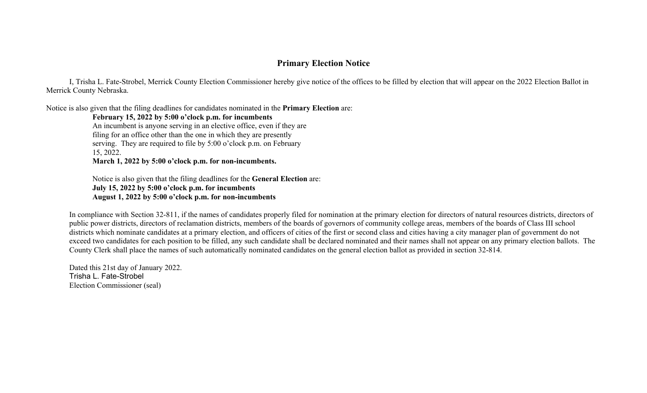## **Primary Election Notice**

I, Trisha L. Fate-Strobel, Merrick County Election Commissioner hereby give notice of the offices to be filled by election that will appear on the 2022 Election Ballot in Merrick County Nebraska.

Notice is also given that the filing deadlines for candidates nominated in the **Primary Election** are:

## **February 15, 2022 by 5:00 o'clock p.m. for incumbents**

An incumbent is anyone serving in an elective office, even if they are filing for an office other than the one in which they are presently serving. They are required to file by 5:00 o'clock p.m. on February 15, 2022. **March 1, 2022 by 5:00 o'clock p.m. for non-incumbents.** 

Notice is also given that the filing deadlines for the **General Election** are: **July 15, 2022 by 5:00 o'clock p.m. for incumbents August 1, 2022 by 5:00 o'clock p.m. for non-incumbents** 

In compliance with Section 32-811, if the names of candidates properly filed for nomination at the primary election for directors of natural resources districts, directors of public power districts, directors of reclamation districts, members of the boards of governors of community college areas, members of the boards of Class III school districts which nominate candidates at a primary election, and officers of cities of the first or second class and cities having a city manager plan of government do not exceed two candidates for each position to be filled, any such candidate shall be declared nominated and their names shall not appear on any primary election ballots. The County Clerk shall place the names of such automatically nominated candidates on the general election ballot as provided in section 32-814.

Dated this 21st day of January 2022. Trisha L. Fate-Strobel Election Commissioner (seal)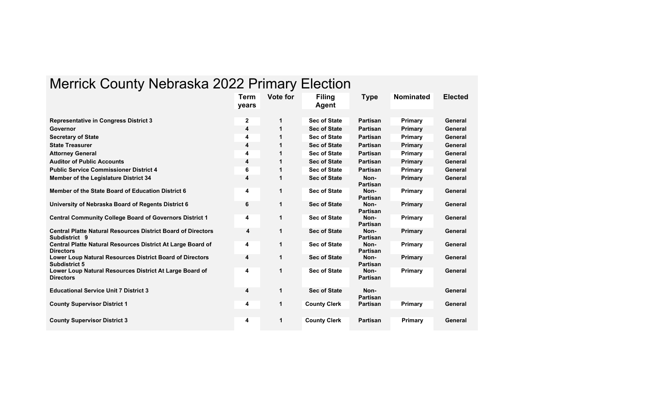## Merrick County Nebraska 2022 Primary Election

|                                                                                      | <b>Term</b><br>years | <b>Vote for</b> | <b>Filing</b><br>Agent | Type                    | <b>Nominated</b> | <b>Elected</b> |
|--------------------------------------------------------------------------------------|----------------------|-----------------|------------------------|-------------------------|------------------|----------------|
| <b>Representative in Congress District 3</b>                                         | $\mathbf 2$          | 1               | <b>Sec of State</b>    | Partisan                | Primary          | General        |
| Governor                                                                             | 4                    |                 | <b>Sec of State</b>    | Partisan                | Primary          | General        |
| <b>Secretary of State</b>                                                            | 4                    |                 | <b>Sec of State</b>    | <b>Partisan</b>         | Primary          | General        |
| <b>State Treasurer</b>                                                               | 4                    |                 | <b>Sec of State</b>    | <b>Partisan</b>         | Primary          | General        |
| <b>Attorney General</b>                                                              | 4                    |                 | <b>Sec of State</b>    | Partisan                | Primary          | General        |
| <b>Auditor of Public Accounts</b>                                                    | 4                    |                 | <b>Sec of State</b>    | <b>Partisan</b>         | <b>Primary</b>   | General        |
| <b>Public Service Commissioner District 4</b>                                        | 6                    |                 | <b>Sec of State</b>    | <b>Partisan</b>         | Primary          | General        |
| <b>Member of the Legislature District 34</b>                                         | 4                    |                 | <b>Sec of State</b>    | Non-<br><b>Partisan</b> | Primary          | General        |
| Member of the State Board of Education District 6                                    | 4                    | 1               | <b>Sec of State</b>    | Non-<br><b>Partisan</b> | Primary          | General        |
| University of Nebraska Board of Regents District 6                                   | 6                    | 1               | <b>Sec of State</b>    | Non-<br><b>Partisan</b> | <b>Primary</b>   | General        |
| <b>Central Community College Board of Governors District 1</b>                       | 4                    | 1               | <b>Sec of State</b>    | Non-<br><b>Partisan</b> | Primary          | General        |
| <b>Central Platte Natural Resources District Board of Directors</b><br>Subdistrict 9 | 4                    | 1               | <b>Sec of State</b>    | Non-<br><b>Partisan</b> | <b>Primary</b>   | General        |
| Central Platte Natural Resources District At Large Board of<br><b>Directors</b>      | 4                    | 1               | <b>Sec of State</b>    | Non-<br><b>Partisan</b> | Primary          | General        |
| Lower Loup Natural Resources District Board of Directors<br>Subdistrict 5            | 4                    | 1               | <b>Sec of State</b>    | Non-<br><b>Partisan</b> | <b>Primary</b>   | General        |
| Lower Loup Natural Resources District At Large Board of<br><b>Directors</b>          | 4                    | 1               | <b>Sec of State</b>    | Non-<br><b>Partisan</b> | Primary          | General        |
| <b>Educational Service Unit 7 District 3</b>                                         | 4                    | 1               | <b>Sec of State</b>    | Non-<br><b>Partisan</b> |                  | General        |
| <b>County Supervisor District 1</b>                                                  | 4                    | 1               | <b>County Clerk</b>    | <b>Partisan</b>         | Primary          | General        |
| <b>County Supervisor District 3</b>                                                  | 4                    | 1               | <b>County Clerk</b>    | <b>Partisan</b>         | Primary          | General        |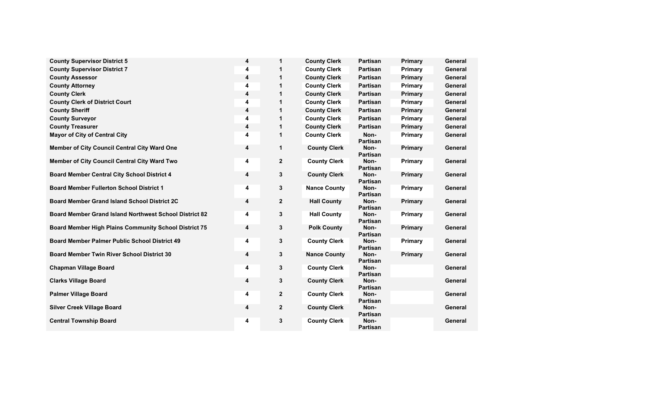| <b>County Supervisor District 5</b>                          | 4 | 1            | <b>County Clerk</b> | Partisan                | <b>Primary</b> | General |
|--------------------------------------------------------------|---|--------------|---------------------|-------------------------|----------------|---------|
| <b>County Supervisor District 7</b>                          | 4 | 1            | <b>County Clerk</b> | Partisan                | Primary        | General |
| <b>County Assessor</b>                                       | 4 | 1            | <b>County Clerk</b> | Partisan                | <b>Primary</b> | General |
| <b>County Attorney</b>                                       | 4 |              | <b>County Clerk</b> | <b>Partisan</b>         | <b>Primary</b> | General |
| <b>County Clerk</b>                                          | 4 | 1            | <b>County Clerk</b> | <b>Partisan</b>         | <b>Primary</b> | General |
| <b>County Clerk of District Court</b>                        | 4 | 1            | <b>County Clerk</b> | <b>Partisan</b>         | <b>Primary</b> | General |
| <b>County Sheriff</b>                                        | 4 | 1            | <b>County Clerk</b> | <b>Partisan</b>         | <b>Primary</b> | General |
| <b>County Surveyor</b>                                       | 4 | 1            | <b>County Clerk</b> | Partisan                | <b>Primary</b> | General |
| <b>County Treasurer</b>                                      | 4 | 1            | <b>County Clerk</b> | Partisan                | <b>Primary</b> | General |
| <b>Mayor of City of Central City</b>                         | 4 | 1            | <b>County Clerk</b> | Non-<br><b>Partisan</b> | <b>Primary</b> | General |
| Member of City Council Central City Ward One                 | 4 | 1            | <b>County Clerk</b> | Non-<br><b>Partisan</b> | <b>Primary</b> | General |
| Member of City Council Central City Ward Two                 | 4 | $\mathbf 2$  | <b>County Clerk</b> | Non-<br><b>Partisan</b> | <b>Primary</b> | General |
| <b>Board Member Central City School District 4</b>           | 4 | 3            | <b>County Clerk</b> | Non-<br><b>Partisan</b> | <b>Primary</b> | General |
| <b>Board Member Fullerton School District 1</b>              | 4 | 3            | <b>Nance County</b> | Non-<br><b>Partisan</b> | <b>Primary</b> | General |
| <b>Board Member Grand Island School District 2C</b>          | 4 | $\mathbf 2$  | <b>Hall County</b>  | Non-<br>Partisan        | <b>Primary</b> | General |
| Board Member Grand Island Northwest School District 82       | 4 | 3            | <b>Hall County</b>  | Non-<br><b>Partisan</b> | Primary        | General |
| <b>Board Member High Plains Community School District 75</b> | 4 | 3            | <b>Polk County</b>  | Non-<br>Partisan        | <b>Primary</b> | General |
| <b>Board Member Palmer Public School District 49</b>         | 4 | 3            | <b>County Clerk</b> | Non-<br><b>Partisan</b> | <b>Primary</b> | General |
| <b>Board Member Twin River School District 30</b>            | 4 | 3            | <b>Nance County</b> | Non-<br>Partisan        | <b>Primary</b> | General |
| <b>Chapman Village Board</b>                                 | 4 | 3            | <b>County Clerk</b> | Non-<br><b>Partisan</b> |                | General |
| <b>Clarks Village Board</b>                                  | 4 | 3            | <b>County Clerk</b> | Non-<br>Partisan        |                | General |
| <b>Palmer Village Board</b>                                  | 4 | $\mathbf 2$  | <b>County Clerk</b> | Non-<br><b>Partisan</b> |                | General |
| <b>Silver Creek Village Board</b>                            | 4 | $\mathbf{2}$ | <b>County Clerk</b> | Non-<br><b>Partisan</b> |                | General |
| <b>Central Township Board</b>                                | 4 | 3            | <b>County Clerk</b> | Non-<br><b>Partisan</b> |                | General |